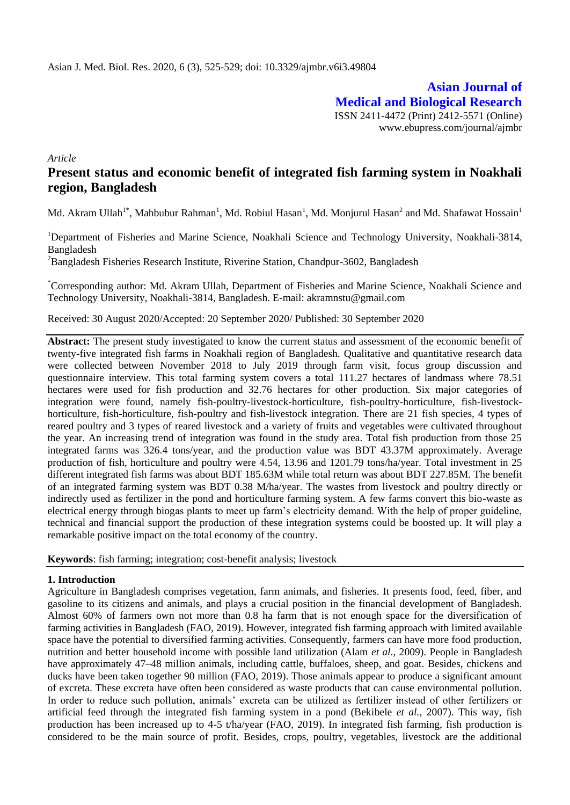**Asian Journal of Medical and Biological Research** ISSN 2411-4472 (Print) 2412-5571 (Online) www.ebupress.com/journal/ajmbr

*Article*

# **Present status and economic benefit of integrated fish farming system in Noakhali region, Bangladesh**

Md. Akram Ullah $^{1*}$ , Mahbubur Rahman $^{1}$ , Md. Robiul Hasan $^{1}$ , Md. Monjurul Hasan $^{2}$  and Md. Shafawat Hossain $^{1}$ 

<sup>1</sup>Department of Fisheries and Marine Science, Noakhali Science and Technology University, Noakhali-3814, Bangladesh

<sup>2</sup>Bangladesh Fisheries Research Institute, Riverine Station, Chandpur-3602, Bangladesh

\*Corresponding author: Md. Akram Ullah, Department of Fisheries and Marine Science, Noakhali Science and Technology University, Noakhali-3814, Bangladesh. E-mail: akramnstu@gmail.com

Received: 30 August 2020/Accepted: 20 September 2020/ Published: 30 September 2020

**Abstract:** The present study investigated to know the current status and assessment of the economic benefit of twenty-five integrated fish farms in Noakhali region of Bangladesh. Qualitative and quantitative research data were collected between November 2018 to July 2019 through farm visit, focus group discussion and questionnaire interview. This total farming system covers a total 111.27 hectares of landmass where 78.51 hectares were used for fish production and 32.76 hectares for other production. Six major categories of integration were found, namely fish-poultry-livestock-horticulture, fish-poultry-horticulture, fish-livestockhorticulture, fish-horticulture, fish-poultry and fish-livestock integration. There are 21 fish species, 4 types of reared poultry and 3 types of reared livestock and a variety of fruits and vegetables were cultivated throughout the year. An increasing trend of integration was found in the study area. Total fish production from those 25 integrated farms was 326.4 tons/year, and the production value was BDT 43.37M approximately. Average production of fish, horticulture and poultry were 4.54, 13.96 and 1201.79 tons/ha/year. Total investment in 25 different integrated fish farms was about BDT 185.63M while total return was about BDT 227.85M. The benefit of an integrated farming system was BDT 0.38 M/ha/year. The wastes from livestock and poultry directly or indirectly used as fertilizer in the pond and horticulture farming system. A few farms convert this bio-waste as electrical energy through biogas plants to meet up farm's electricity demand. With the help of proper guideline, technical and financial support the production of these integration systems could be boosted up. It will play a remarkable positive impact on the total economy of the country.

**Keywords**: fish farming; integration; cost-benefit analysis; livestock

## **1. Introduction**

Agriculture in Bangladesh comprises vegetation, farm animals, and fisheries. It presents food, feed, fiber, and gasoline to its citizens and animals, and plays a crucial position in the financial development of Bangladesh. Almost 60% of farmers own not more than 0.8 ha farm that is not enough space for the diversification of farming activities in Bangladesh (FAO, 2019). However, integrated fish farming approach with limited available space have the potential to diversified farming activities. Consequently, farmers can have more food production, nutrition and better household income with possible land utilization (Alam *et al*., 2009). People in Bangladesh have approximately 47–48 million animals, including cattle, buffaloes, sheep, and goat. Besides, chickens and ducks have been taken together 90 million (FAO, 2019). Those animals appear to produce a significant amount of excreta. These excreta have often been considered as waste products that can cause environmental pollution. In order to reduce such pollution, animals' excreta can be utilized as fertilizer instead of other fertilizers or artificial feed through the integrated fish farming system in a pond (Bekibele *et al.*, 2007). This way, fish production has been increased up to 4-5 t/ha/year (FAO, 2019). In integrated fish farming, fish production is considered to be the main source of profit. Besides, crops, poultry, vegetables, livestock are the additional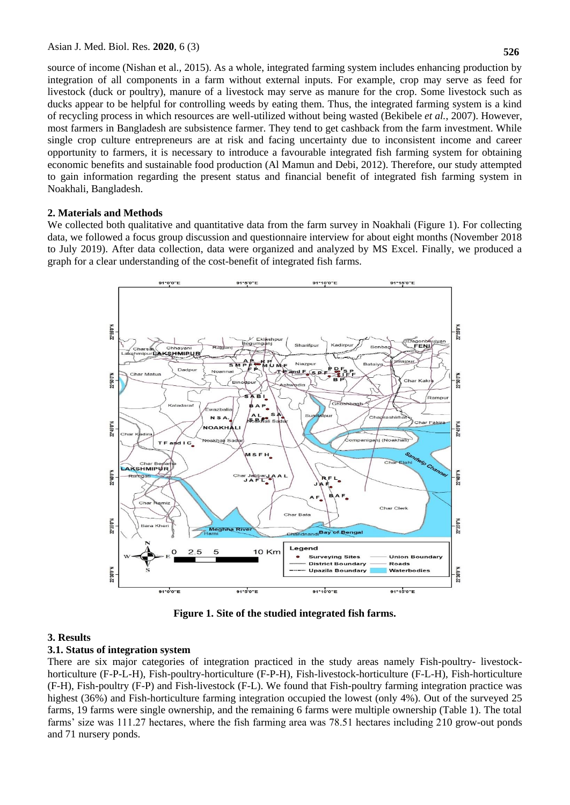**526**

source of income (Nishan et al., 2015). As a whole, integrated farming system includes enhancing production by integration of all components in a farm without external inputs. For example, crop may serve as feed for livestock (duck or poultry), manure of a livestock may serve as manure for the crop. Some livestock such as ducks appear to be helpful for controlling weeds by eating them. Thus, the integrated farming system is a kind of recycling process in which resources are well-utilized without being wasted (Bekibele *et al.*, 2007). However, most farmers in Bangladesh are subsistence farmer. They tend to get cashback from the farm investment. While single crop culture entrepreneurs are at risk and facing uncertainty due to inconsistent income and career opportunity to farmers, it is necessary to introduce a favourable integrated fish farming system for obtaining economic benefits and sustainable food production (Al Mamun and Debi, 2012). Therefore, our study attempted to gain information regarding the present status and financial benefit of integrated fish farming system in Noakhali, Bangladesh.

## **2. Materials and Methods**

We collected both qualitative and quantitative data from the farm survey in Noakhali (Figure 1). For collecting data, we followed a focus group discussion and questionnaire interview for about eight months (November 2018 to July 2019). After data collection, data were organized and analyzed by MS Excel. Finally, we produced a graph for a clear understanding of the cost-benefit of integrated fish farms.



**Figure 1. Site of the studied integrated fish farms.**

## **3. Results**

## **3.1. Status of integration system**

There are six major categories of integration practiced in the study areas namely Fish-poultry- livestockhorticulture (F-P-L-H), Fish-poultry-horticulture (F-P-H), Fish-livestock-horticulture (F-L-H), Fish-horticulture (F-H), Fish-poultry (F-P) and Fish-livestock (F-L). We found that Fish-poultry farming integration practice was highest (36%) and Fish-horticulture farming integration occupied the lowest (only 4%). Out of the surveyed 25 farms, 19 farms were single ownership, and the remaining 6 farms were multiple ownership (Table 1). The total farms' size was 111.27 hectares, where the fish farming area was 78.51 hectares including 210 grow-out ponds and 71 nursery ponds.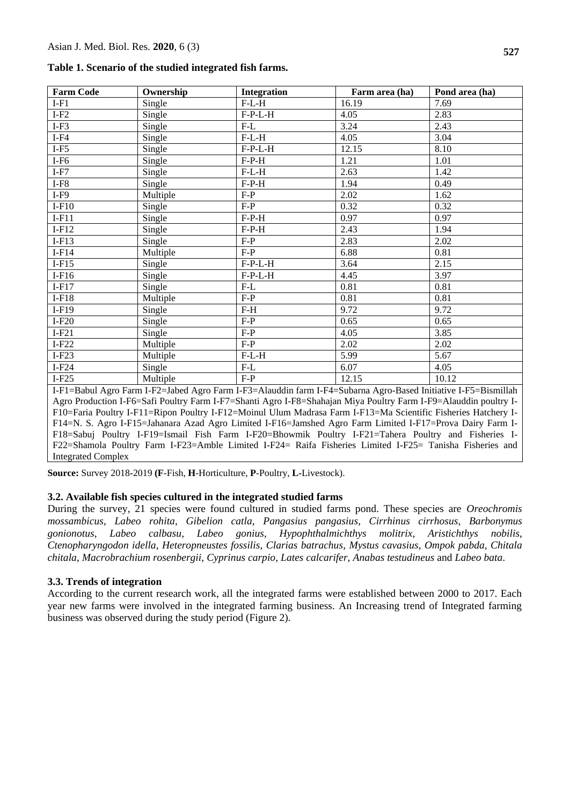| Table 1. Scenario of the studied integrated fish farms. |  |
|---------------------------------------------------------|--|
|---------------------------------------------------------|--|

| <b>Farm Code</b> | Ownership | <b>Integration</b> | Farm area (ha) | Pond area (ha) |
|------------------|-----------|--------------------|----------------|----------------|
| $I-F1$           | Single    | $F-L-H$            | 16.19          | 7.69           |
| $I-F2$           | Single    | $F-P-L-H$          | 4.05           | 2.83           |
| $I-F3$           | Single    | $F-L$              | 3.24           | 2.43           |
| $I-F4$           | Single    | $F-L-H$            | 4.05           | 3.04           |
| $I-F5$           | Single    | $F-P-L-H$          | 12.15          | 8.10           |
| $I-F6$           | Single    | $F-P-H$            | 1.21           | 1.01           |
| $I-F7$           | Single    | $F-L-H$            | 2.63           | 1.42           |
| $I-F8$           | Single    | $F-P-H$            | 1.94           | 0.49           |
| $I-F9$           | Multiple  | $F-P$              | 2.02           | 1.62           |
| $I-F10$          | Single    | $F-P$              | 0.32           | 0.32           |
| $I-F11$          | Single    | $F-P-H$            | 0.97           | 0.97           |
| $I-F12$          | Single    | $F-P-H$            | 2.43           | 1.94           |
| $I-F13$          | Single    | $F-P$              | 2.83           | 2.02           |
| $I-F14$          | Multiple  | $F-P$              | 6.88           | 0.81           |
| $I-F15$          | Single    | $F-P-L-H$          | 3.64           | 2.15           |
| $I-F16$          | Single    | $F-P-L-H$          | 4.45           | 3.97           |
| $I-F17$          | Single    | $F-L$              | 0.81           | 0.81           |
| $I-F18$          | Multiple  | $F-P$              | 0.81           | 0.81           |
| $I-F19$          | Single    | $F-H$              | 9.72           | 9.72           |
| $I-F20$          | Single    | $F-P$              | 0.65           | 0.65           |
| $I-F21$          | Single    | $F-P$              | 4.05           | 3.85           |
| $I-F22$          | Multiple  | $F-P$              | 2.02           | 2.02           |
| $I-F23$          | Multiple  | $F-L-H$            | 5.99           | 5.67           |
| $I-F24$          | Single    | $F-L$              | 6.07           | 4.05           |
| $I-F25$          | Multiple  | $F-P$              | 12.15          | 10.12          |

I-F1=Babul Agro Farm I-F2=Jabed Agro Farm I-F3=Alauddin farm I-F4=Subarna Agro-Based Initiative I-F5=Bismillah Agro Production I-F6=Safi Poultry Farm I-F7=Shanti Agro I-F8=Shahajan Miya Poultry Farm I-F9=Alauddin poultry I-F10=Faria Poultry I-F11=Ripon Poultry I-F12=Moinul Ulum Madrasa Farm I-F13=Ma Scientific Fisheries Hatchery I-F14=N. S. Agro I-F15=Jahanara Azad Agro Limited I-F16=Jamshed Agro Farm Limited I-F17=Prova Dairy Farm I-F18=Sabuj Poultry I-F19=Ismail Fish Farm I-F20=Bhowmik Poultry I-F21=Tahera Poultry and Fisheries I-F22=Shamola Poultry Farm I-F23=Amble Limited I-F24= Raifa Fisheries Limited I-F25= Tanisha Fisheries and Integrated Complex

**Source:** Survey 2018-2019 **(F**-Fish, **H**-Horticulture, **P**-Poultry, **L-**Livestock).

#### **3.2. Available fish species cultured in the integrated studied farms**

During the survey, 21 species were found cultured in studied farms pond. These species are *Oreochromis mossambicus*, *Labeo rohita*, *Gibelion catla*, *Pangasius pangasius*, *Cirrhinus cirrhosus*, *Barbonymus gonionotus*, *Labeo calbasu*, *Labeo gonius*, *Hypophthalmichthys molitrix*, *Aristichthys nobilis*, *Ctenopharyngodon idella*, *Heteropneustes fossilis*, *Clarias batrachus*, *Mystus cavasius*, *Ompok pabda*, *Chitala chitala*, *Macrobrachium rosenbergii*, *Cyprinus carpio*, *Lates calcarifer*, *Anabas testudineus* and *Labeo bata*.

## **3.3. Trends of integration**

According to the current research work, all the integrated farms were established between 2000 to 2017. Each year new farms were involved in the integrated farming business. An Increasing trend of Integrated farming business was observed during the study period (Figure 2).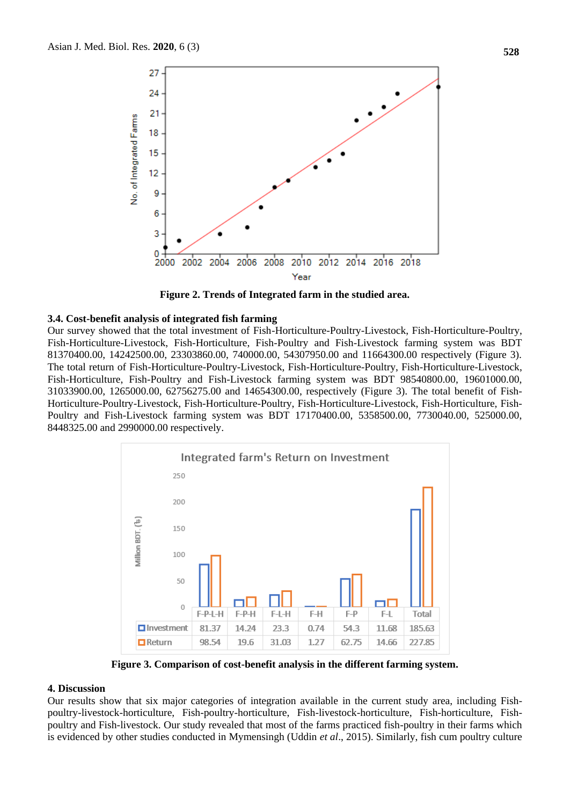

**Figure 2. Trends of Integrated farm in the studied area.**

#### **3.4. Cost-benefit analysis of integrated fish farming**

Our survey showed that the total investment of Fish-Horticulture-Poultry-Livestock, Fish-Horticulture-Poultry, Fish-Horticulture-Livestock, Fish-Horticulture, Fish-Poultry and Fish-Livestock farming system was BDT 81370400.00, 14242500.00, 23303860.00, 740000.00, 54307950.00 and 11664300.00 respectively (Figure 3). The total return of Fish-Horticulture-Poultry-Livestock, Fish-Horticulture-Poultry, Fish-Horticulture-Livestock, Fish-Horticulture, Fish-Poultry and Fish-Livestock farming system was BDT 98540800.00, 19601000.00, 31033900.00, 1265000.00, 62756275.00 and 14654300.00, respectively (Figure 3). The total benefit of Fish-Horticulture-Poultry-Livestock, Fish-Horticulture-Poultry, Fish-Horticulture-Livestock, Fish-Horticulture, Fish-Poultry and Fish-Livestock farming system was BDT 17170400.00, 5358500.00, 7730040.00, 525000.00, 8448325.00 and 2990000.00 respectively.



**Figure 3. Comparison of cost-benefit analysis in the different farming system.**

#### **4. Discussion**

Our results show that six major categories of integration available in the current study area, including Fishpoultry-livestock-horticulture, Fish-poultry-horticulture, Fish-livestock-horticulture, Fish-horticulture, Fishpoultry and Fish-livestock. Our study revealed that most of the farms practiced fish-poultry in their farms which is evidenced by other studies conducted in Mymensingh (Uddin *et al*., 2015). Similarly, fish cum poultry culture